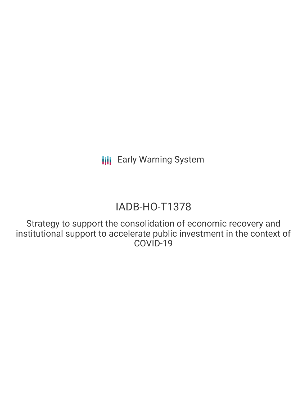# IADB-HO-T1378

Strategy to support the consolidation of economic recovery and institutional support to accelerate public investment in the context of COVID-19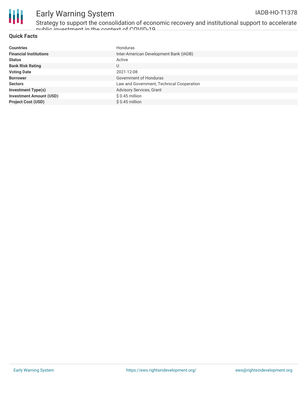

Strategy to support the consolidation of economic recovery and institutional support to accelerate public invectment in the context of COVID-10  $^{\circ}$ 

#### **Quick Facts**

| <b>Countries</b>               | Honduras                                  |
|--------------------------------|-------------------------------------------|
| <b>Financial Institutions</b>  | Inter-American Development Bank (IADB)    |
| <b>Status</b>                  | Active                                    |
| <b>Bank Risk Rating</b>        | U                                         |
| <b>Voting Date</b>             | 2021-12-08                                |
| <b>Borrower</b>                | Government of Honduras                    |
| <b>Sectors</b>                 | Law and Government, Technical Cooperation |
| <b>Investment Type(s)</b>      | Advisory Services, Grant                  |
| <b>Investment Amount (USD)</b> | $$0.45$ million                           |
| <b>Project Cost (USD)</b>      | $$0.45$ million                           |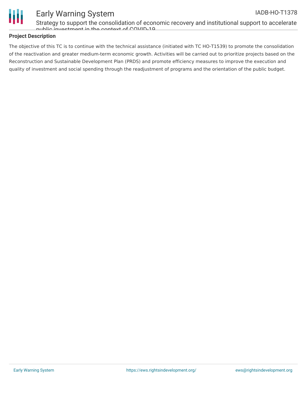

Strategy to support the consolidation of economic recovery and institutional support to accelerate public investment in the context of COVID-19

### **Project Description**

The objective of this TC is to continue with the technical assistance (initiated with TC HO-T1539) to promote the consolidation of the reactivation and greater medium-term economic growth. Activities will be carried out to prioritize projects based on the Reconstruction and Sustainable Development Plan (PRDS) and promote efficiency measures to improve the execution and quality of investment and social spending through the readjustment of programs and the orientation of the public budget.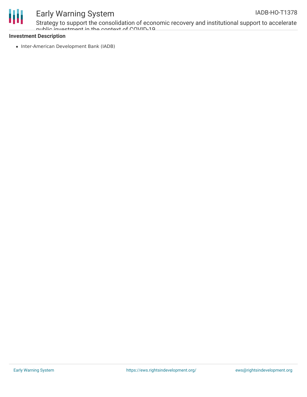

Strategy to support the consolidation of economic recovery and institutional support to accelerate public investment in the context of COVID-19

### **Investment Description**

• Inter-American Development Bank (IADB)